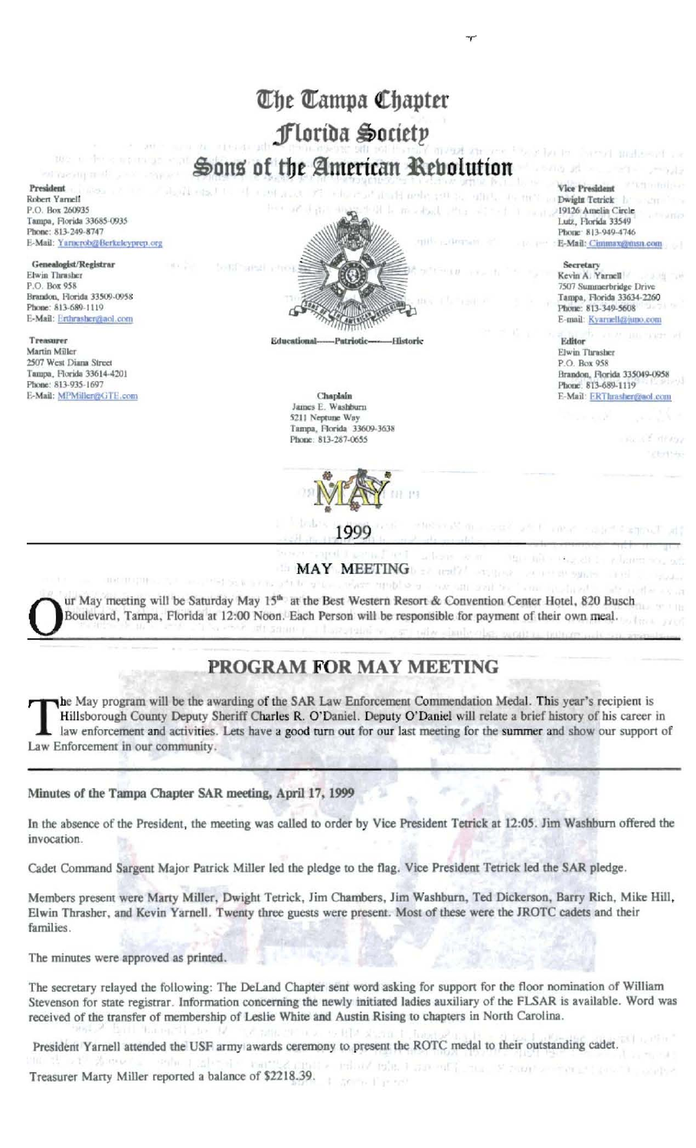# The Tampa Chapter Florida Society Sons of the American Rebolution

President Robert Yarnell P.O. Box 260935 Tampa, Florida 33685-0935 Phone: 813-249-8747 E-Mail: Yarnerob@Berkeleyprep.org

Genealogist/Registrar Elwin Thrasher P.O. Box 958 Brandon, Florida 33509-0958 Phone: 813-689-1119 E-Mail: Erthrasher@aol.com

Treasurer Martin Miller 2507 West Diana Street Tampa, Florida 33614-4201 Phone: 813-935-1697 E-Mail: MPMiller@GTE.com



Educational Historic

> Chaplain James E. Washburn 5211 Neptune Way Tampa, Florida 33609-3638 Phone: 813-287-0655



**MAY MEETING** 

ur May meeting will be Saturday May 15<sup>th</sup> at the Best Western Resort & Convention Center Hotel, 820 Busch Boulevard, Tampa, Florida at 12:00 Noon. Each Person will be responsible for payment of their own meal.

# PROGRAM FOR MAY MEETING

the May program will be the awarding of the SAR Law Enforcement Commendation Medal. This year's recipient is Hillsborough County Deputy Sheriff Charles R. O'Daniel. Deputy O'Daniel will relate a brief history of his career in law enforcement and activities. Lets have a good turn out for our last meeting for the summer and show our support of Law Enforcement in our community.

#### Minutes of the Tampa Chapter SAR meeting, April 17, 1999

In the absence of the President, the meeting was called to order by Vice President Tetrick at 12:05. Jim Washburn offered the invocation.

Cadet Command Sargent Major Patrick Miller led the pledge to the flag. Vice President Tetrick led the SAR pledge.

Members present were Marty Miller, Dwight Tetrick, Jim Chambers, Jim Washburn, Ted Dickerson, Barry Rich, Mike Hill, Elwin Thrasher, and Kevin Yarnell. Twenty three guests were present. Most of these were the JROTC cadets and their families.

The minutes were approved as printed.

The secretary relayed the following: The DeLand Chapter sent word asking for support for the floor nomination of William Stevenson for state registrar. Information concerning the newly initiated ladies auxiliary of the FLSAR is available. Word was received of the transfer of membership of Leslie White and Austin Rising to chapters in North Carolina.

Stille, The end

President Yarnell attended the USF army awards ceremony to present the ROTC medal to their outstanding cadet.

Treasurer Marty Miller reported a balance of \$2218.39.

**Vice President** Dwight Tetrick 19126 Amelia Circle Lutz, Florida 33549 Phone: 813-949-4746 E-Mail: Cimasax@msn.com

Secretary

Kevin A. Yarnell 7507 Summerbridge Drive Tampa, Florida 33634-2260 Phone: 813-349-5608 E-mail: Kyarnellezjuno.com

Editor Elwin Thrasher P.O. Box 958 Brandon, Florida 335049-0958 Phone: 813-689-1119 E-Mail: ERThrasher@aol.com

automatic community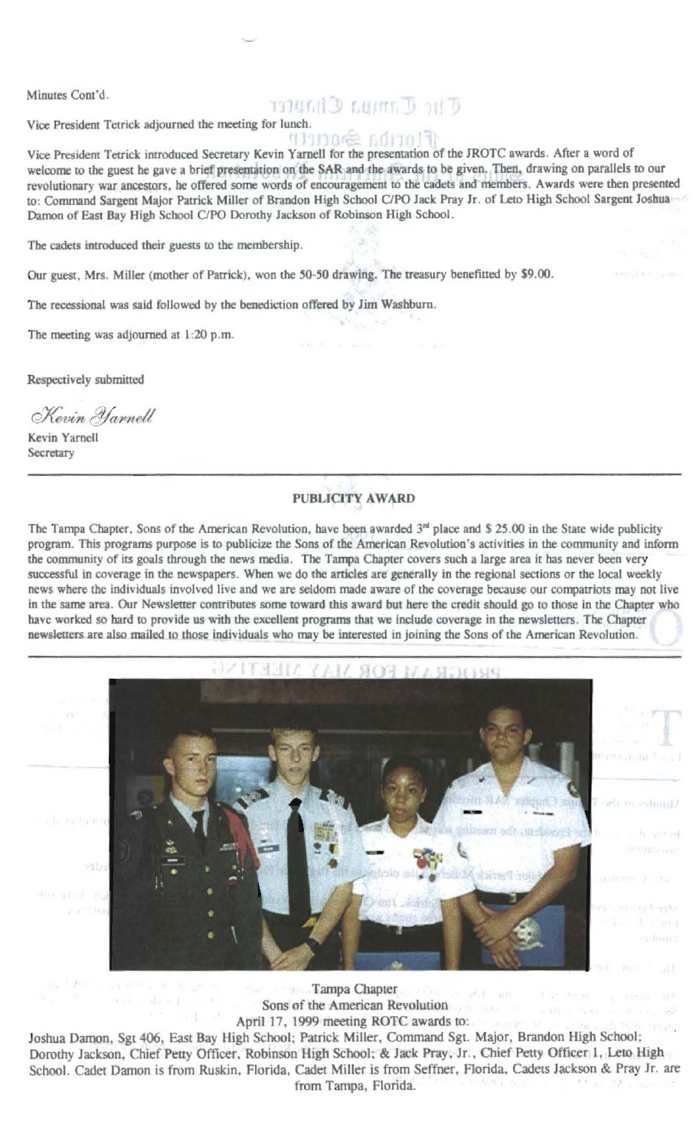Minutes Cont'd.

## THE U. THINK Chapter

Vice President Tetrick adjourned the meeting for lunch.

#### MBOGE GOMOTI

Vice President Tetrick introduced Secretary Kevin Yarnell for the presentation of the JROTC awards. After a word of welcome to the guest he gave a brief presentation on the SAR and the awards to be given. Then, drawing on parallels to our revolutionary war ancestors, he offered some words of encouragement to the cadets and members. Awards were then presented to: Command Sargent Major Patrick Miller of Brandon High School C/PO Jack Pray Jr. of Leto High School Sargent Joshua Damon of East Bay High School C/PO Dorothy Jackson of Robinson High School.

The cadets introduced their guests to the membership.

Our guest, Mrs. Miller (mother of Patrick), won the 50-50 drawing. The treasury benefitted by \$9.00.

The recessional was said followed by the benediction offered by Jim Washburn.

The meeting was adjourned at 1:20 p.m.

Respectively submitted

Kevin Yarnell

Kevin Yarnell Secretary

### **PUBLICITY AWARD**

The Tampa Chapter, Sons of the American Revolution, have been awarded  $3<sup>rd</sup>$  place and \$ 25.00 in the State wide publicity program. This programs purpose is to publicize the Sons of the American Revolution's activities in the community and inform the community of its goals through the news media. The Tampa Chapter covers such a large area it has never been very successful in coverage in the newspapers. When we do the articles are generally in the regional sections or the local weekly news where the individuals involved live and we are seldom made aware of the coverage because our compatriots may not live in the same area. Our Newsletter contributes some toward this award but here the credit should go to those in the Chapter who have worked so hard to provide us with the excellent programs that we include coverage in the newsletters. The Chapter newsletters are also mailed to those individuals who may be interested in joining the Sons of the American Revolution.



Tampa Chapter **Init** me has started Sons of the American Revolution April 17, 1999 meeting ROTC awards to:

 $-121$ 

Joshua Damon, Sgt 406, East Bay High School; Patrick Miller, Command Sgt. Major, Brandon High School; Dorothy Jackson, Chief Petty Officer, Robinson High School; & Jack Pray, Jr., Chief Petty Officer 1, Leto High School. Cadet Damon is from Ruskin, Florida, Cadet Miller is from Seffner, Florida, Cadets Jackson & Pray Jr. are from Tampa, Florida.